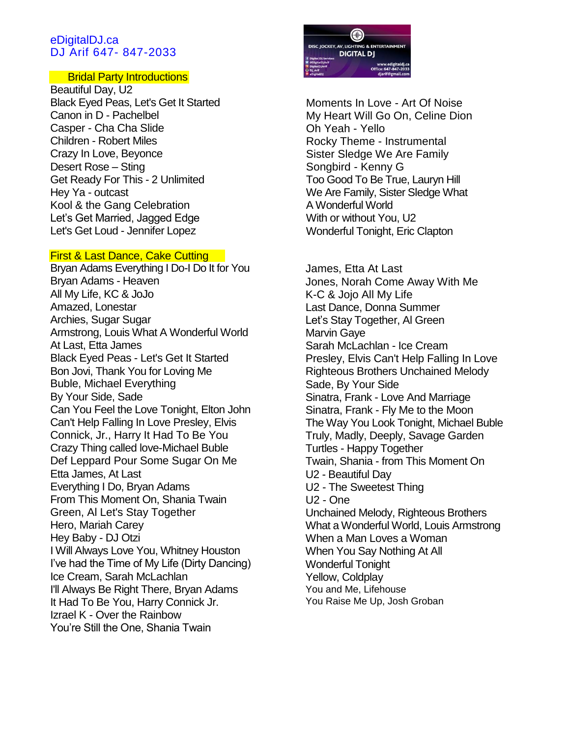## eDigitalDJ.ca DJ Arif 647- 847-2033

## Bridal Party Introductions

Beautiful Day, U2 Black Eyed Peas, Let's Get It Started Canon in D - Pachelbel Casper - Cha Cha Slide Children - Robert Miles Crazy In Love, Beyonce Desert Rose – Sting Get Ready For This - 2 Unlimited Hey Ya - outcast Kool & the Gang Celebration Let's Get Married, Jagged Edge Let's Get Loud - Jennifer Lopez

## First & Last Dance, Cake Cutting

Bryan Adams Everything I Do-I Do It for You Bryan Adams - Heaven All My Life, KC & JoJo Amazed, Lonestar Archies, Sugar Sugar Armstrong, Louis What A Wonderful World At Last, Etta James Black Eyed Peas - Let's Get It Started Bon Jovi, Thank You for Loving Me Buble, Michael Everything By Your Side, Sade Can You Feel the Love Tonight, Elton John Can't Help Falling In Love Presley, Elvis Connick, Jr., Harry It Had To Be You Crazy Thing called love-Michael Buble Def Leppard Pour Some Sugar On Me Etta James, At Last Everything I Do, Bryan Adams From This Moment On, Shania Twain Green, Al Let's Stay Together Hero, Mariah Carey Hey Baby - DJ Otzi I Will Always Love You, Whitney Houston I've had the Time of My Life (Dirty Dancing) Ice Cream, Sarah McLachlan I'll Always Be Right There, Bryan Adams It Had To Be You, Harry Connick Jr. Izrael K - Over the Rainbow You're Still the One, Shania Twain



Moments In Love - Art Of Noise My Heart Will Go On, Celine Dion Oh Yeah - Yello Rocky Theme - Instrumental Sister Sledge We Are Family Songbird - Kenny G Too Good To Be True, Lauryn Hill We Are Family, Sister Sledge What A Wonderful World With or without You, U2 Wonderful Tonight, Eric Clapton

James, Etta At Last Jones, Norah Come Away With Me K-C & Jojo All My Life Last Dance, Donna Summer Let's Stay Together, Al Green Marvin Gaye Sarah McLachlan - Ice Cream Presley, Elvis Can't Help Falling In Love Righteous Brothers Unchained Melody Sade, By Your Side Sinatra, Frank - Love And Marriage Sinatra, Frank - Fly Me to the Moon The Way You Look Tonight, Michael Buble Truly, Madly, Deeply, Savage Garden Turtles - Happy Together Twain, Shania - from This Moment On U2 - Beautiful Day U2 - The Sweetest Thing U2 - One Unchained Melody, Righteous Brothers What a Wonderful World, Louis Armstrong When a Man Loves a Woman When You Say Nothing At All Wonderful Tonight Yellow, Coldplay You and Me, Lifehouse You Raise Me Up, Josh Groban